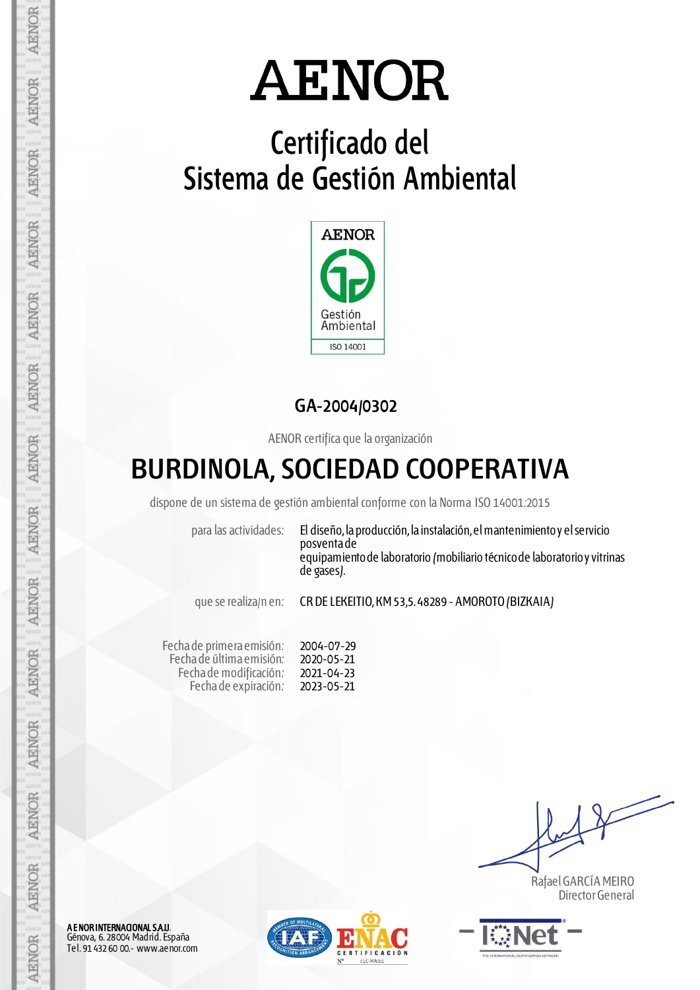## **Certificado del Sistema de Gestión Ambiental**



## **GA-2004/0302**

AENOR certifica que la organización

## **BURDINOLA, SOCIEDAD COOPERATIVA**

dispone de un sistema de gestión ambiental conforme con la Norma ISO 14001:2015

para las actividades: El diseño, la producción, la instalación, el mantenimiento y el servicio posventa de equipamiento de laboratorio (mobiliario técnico de laboratorio y vitrinas de gases).

que se realiza/n en: CR DE LEKEITIO, KM 53,5. 48289 - AMOROTO (BIZKAIA)

Fecha de primera emisión: Fecha de última emisión: Fecha de modificación: Fecha de expiración: 2004-07-29 2020-05-21 2021-04-23 2023-05-21

 Rafael GARCÍA MEIRO Director General



A E NOR INTERNACIONAL S.A.U. Génova, 6. 28004 Madrid. España Tel. 91 432 60 00.- www.aenor.com